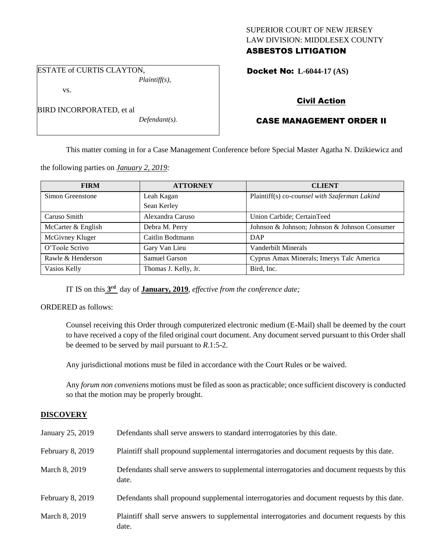# SUPERIOR COURT OF NEW JERSEY LAW DIVISION: MIDDLESEX COUNTY ASBESTOS LITIGATION

Docket No: **L-6044-17 (AS)** 

ESTATE of CURTIS CLAYTON, *Plaintiff(s),*

BIRD INCORPORATED, et al

vs.

*Defendant(s).*

Civil Action

# CASE MANAGEMENT ORDER II

This matter coming in for a Case Management Conference before Special Master Agatha N. Dzikiewicz and

the following parties on *January 2, 2019:*

| <b>FIRM</b>        | <b>ATTORNEY</b>      | <b>CLIENT</b>                                 |
|--------------------|----------------------|-----------------------------------------------|
| Simon Greenstone   | Leah Kagan           | Plaintiff(s) co-counsel with Szaferman Lakind |
|                    | Sean Kerley          |                                               |
| Caruso Smith       | Alexandra Caruso     | Union Carbide; CertainTeed                    |
| McCarter & English | Debra M. Perry       | Johnson & Johnson; Johnson & Johnson Consumer |
| McGivney Kluger    | Caitlin Bodtmann     | DAP                                           |
| O'Toole Scrivo     | Gary Van Lieu        | Vanderbilt Minerals                           |
| Rawle & Henderson  | Samuel Garson        | Cyprus Amax Minerals; Imerys Talc America     |
| Vasios Kelly       | Thomas J. Kelly, Jr. | Bird, Inc.                                    |

IT IS on this **3 rd** day of **January, 2019**, *effective from the conference date;*

ORDERED as follows:

Counsel receiving this Order through computerized electronic medium (E-Mail) shall be deemed by the court to have received a copy of the filed original court document. Any document served pursuant to this Order shall be deemed to be served by mail pursuant to *R*.1:5-2.

Any jurisdictional motions must be filed in accordance with the Court Rules or be waived.

Any *forum non conveniens* motions must be filed as soon as practicable; once sufficient discovery is conducted so that the motion may be properly brought.

# **DISCOVERY**

| January 25, 2019 | Defendants shall serve answers to standard interrogatories by this date.                              |
|------------------|-------------------------------------------------------------------------------------------------------|
| February 8, 2019 | Plaintiff shall propound supplemental interrogatories and document requests by this date.             |
| March 8, 2019    | Defendants shall serve answers to supplemental interrogatories and document requests by this<br>date. |
| February 8, 2019 | Defendants shall propound supplemental interrogatories and document requests by this date.            |
| March 8, 2019    | Plaintiff shall serve answers to supplemental interrogatories and document requests by this<br>date.  |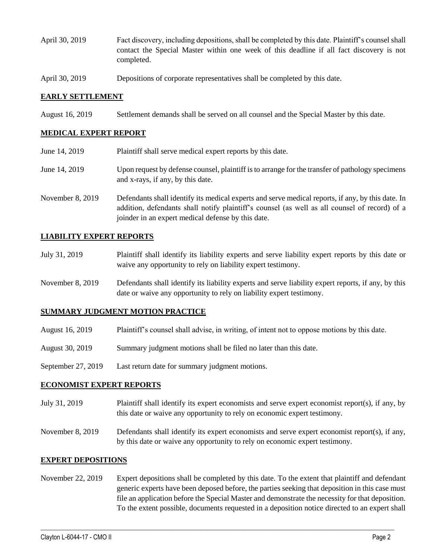- April 30, 2019 Fact discovery, including depositions, shall be completed by this date. Plaintiff's counsel shall contact the Special Master within one week of this deadline if all fact discovery is not completed.
- April 30, 2019 Depositions of corporate representatives shall be completed by this date.

## **EARLY SETTLEMENT**

August 16, 2019 Settlement demands shall be served on all counsel and the Special Master by this date.

## **MEDICAL EXPERT REPORT**

June 14, 2019 Plaintiff shall serve medical expert reports by this date. June 14, 2019 Upon request by defense counsel, plaintiff is to arrange for the transfer of pathology specimens and x-rays, if any, by this date. November 8, 2019 Defendants shall identify its medical experts and serve medical reports, if any, by this date. In addition, defendants shall notify plaintiff's counsel (as well as all counsel of record) of a joinder in an expert medical defense by this date.

## **LIABILITY EXPERT REPORTS**

- July 31, 2019 Plaintiff shall identify its liability experts and serve liability expert reports by this date or waive any opportunity to rely on liability expert testimony.
- November 8, 2019 Defendants shall identify its liability experts and serve liability expert reports, if any, by this date or waive any opportunity to rely on liability expert testimony.

#### **SUMMARY JUDGMENT MOTION PRACTICE**

- August 16, 2019 Plaintiff's counsel shall advise, in writing, of intent not to oppose motions by this date.
- August 30, 2019 Summary judgment motions shall be filed no later than this date.
- September 27, 2019 Last return date for summary judgment motions.

#### **ECONOMIST EXPERT REPORTS**

- July 31, 2019 Plaintiff shall identify its expert economists and serve expert economist report(s), if any, by this date or waive any opportunity to rely on economic expert testimony.
- November 8, 2019 Defendants shall identify its expert economists and serve expert economist report(s), if any, by this date or waive any opportunity to rely on economic expert testimony.

#### **EXPERT DEPOSITIONS**

November 22, 2019 Expert depositions shall be completed by this date. To the extent that plaintiff and defendant generic experts have been deposed before, the parties seeking that deposition in this case must file an application before the Special Master and demonstrate the necessity for that deposition. To the extent possible, documents requested in a deposition notice directed to an expert shall

 $\_$  ,  $\_$  ,  $\_$  ,  $\_$  ,  $\_$  ,  $\_$  ,  $\_$  ,  $\_$  ,  $\_$  ,  $\_$  ,  $\_$  ,  $\_$  ,  $\_$  ,  $\_$  ,  $\_$  ,  $\_$  ,  $\_$  ,  $\_$  ,  $\_$  ,  $\_$  ,  $\_$  ,  $\_$  ,  $\_$  ,  $\_$  ,  $\_$  ,  $\_$  ,  $\_$  ,  $\_$  ,  $\_$  ,  $\_$  ,  $\_$  ,  $\_$  ,  $\_$  ,  $\_$  ,  $\_$  ,  $\_$  ,  $\_$  ,